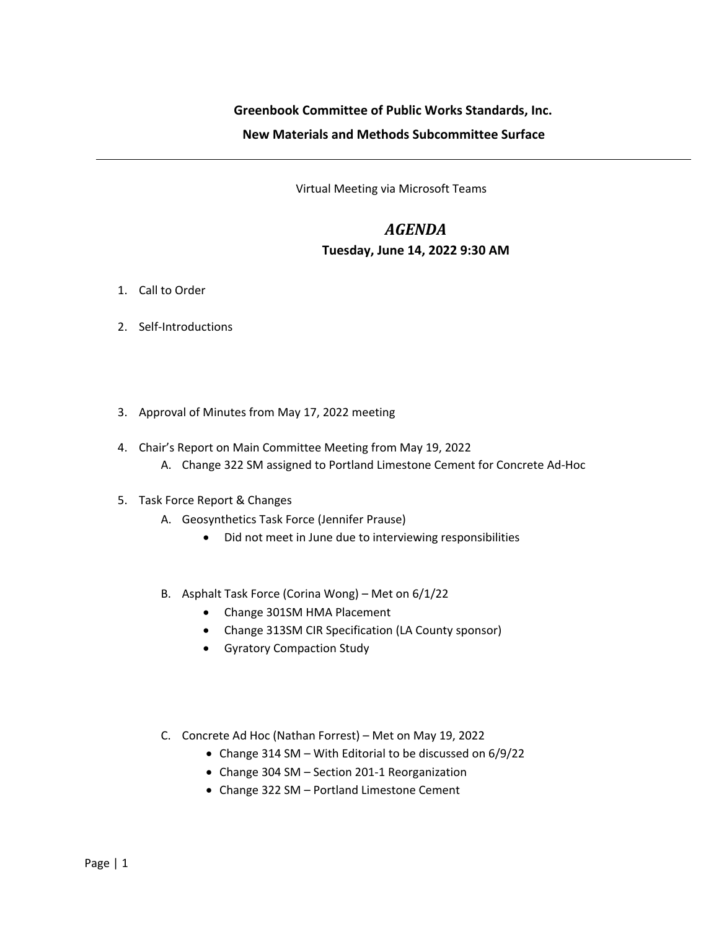## **Greenbook Committee of Public Works Standards, Inc. New Materials and Methods Subcommittee Surface**

Virtual Meeting via Microsoft Teams

## *AGENDA* **Tuesday, June 14, 2022 9:30 AM**

- 1. Call to Order
- 2. Self-Introductions
- 3. Approval of Minutes from May 17, 2022 meeting
- 4. Chair's Report on Main Committee Meeting from May 19, 2022
	- A. Change 322 SM assigned to Portland Limestone Cement for Concrete Ad-Hoc
- 5. Task Force Report & Changes
	- A. Geosynthetics Task Force (Jennifer Prause)
		- Did not meet in June due to interviewing responsibilities
	- B. Asphalt Task Force (Corina Wong) Met on 6/1/22
		- Change 301SM HMA Placement
		- Change 313SM CIR Specification (LA County sponsor)
		- Gyratory Compaction Study
	- C. Concrete Ad Hoc (Nathan Forrest) Met on May 19, 2022
		- Change 314 SM With Editorial to be discussed on 6/9/22
		- Change 304 SM Section 201-1 Reorganization
		- Change 322 SM Portland Limestone Cement